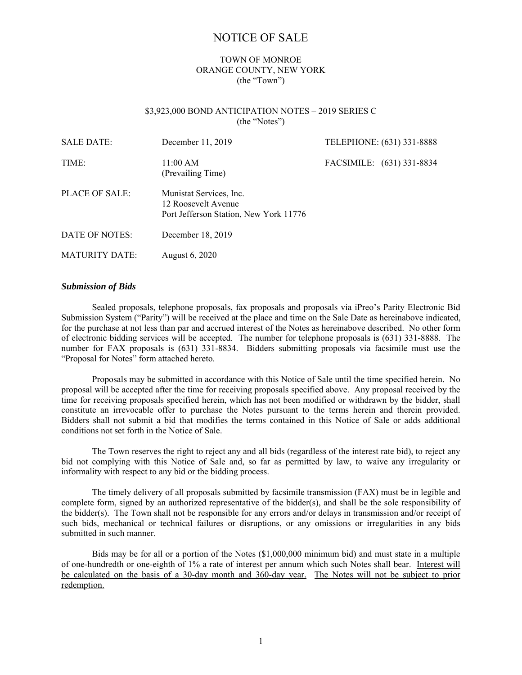# NOTICE OF SALE

# TOWN OF MONROE ORANGE COUNTY, NEW YORK (the "Town")

# \$3,923,000 BOND ANTICIPATION NOTES – 2019 SERIES C (the "Notes")

| <b>SALE DATE:</b>     | December 11, 2019                                                                        | TELEPHONE: (631) 331-8888 |  |
|-----------------------|------------------------------------------------------------------------------------------|---------------------------|--|
| TIME:                 | 11:00 AM<br>(Prevailing Time)                                                            | FACSIMILE: (631) 331-8834 |  |
| PLACE OF SALE:        | Munistat Services, Inc.<br>12 Roosevelt Avenue<br>Port Jefferson Station, New York 11776 |                           |  |
| DATE OF NOTES:        | December 18, 2019                                                                        |                           |  |
| <b>MATURITY DATE:</b> | August 6, 2020                                                                           |                           |  |

### *Submission of Bids*

Sealed proposals, telephone proposals, fax proposals and proposals via iPreo's Parity Electronic Bid Submission System ("Parity") will be received at the place and time on the Sale Date as hereinabove indicated, for the purchase at not less than par and accrued interest of the Notes as hereinabove described. No other form of electronic bidding services will be accepted. The number for telephone proposals is (631) 331-8888. The number for FAX proposals is (631) 331-8834. Bidders submitting proposals via facsimile must use the "Proposal for Notes" form attached hereto.

Proposals may be submitted in accordance with this Notice of Sale until the time specified herein. No proposal will be accepted after the time for receiving proposals specified above. Any proposal received by the time for receiving proposals specified herein, which has not been modified or withdrawn by the bidder, shall constitute an irrevocable offer to purchase the Notes pursuant to the terms herein and therein provided. Bidders shall not submit a bid that modifies the terms contained in this Notice of Sale or adds additional conditions not set forth in the Notice of Sale.

The Town reserves the right to reject any and all bids (regardless of the interest rate bid), to reject any bid not complying with this Notice of Sale and, so far as permitted by law, to waive any irregularity or informality with respect to any bid or the bidding process.

The timely delivery of all proposals submitted by facsimile transmission (FAX) must be in legible and complete form, signed by an authorized representative of the bidder(s), and shall be the sole responsibility of the bidder(s). The Town shall not be responsible for any errors and/or delays in transmission and/or receipt of such bids, mechanical or technical failures or disruptions, or any omissions or irregularities in any bids submitted in such manner.

Bids may be for all or a portion of the Notes (\$1,000,000 minimum bid) and must state in a multiple of one-hundredth or one-eighth of 1% a rate of interest per annum which such Notes shall bear. Interest will be calculated on the basis of a 30-day month and 360-day year. The Notes will not be subject to prior redemption.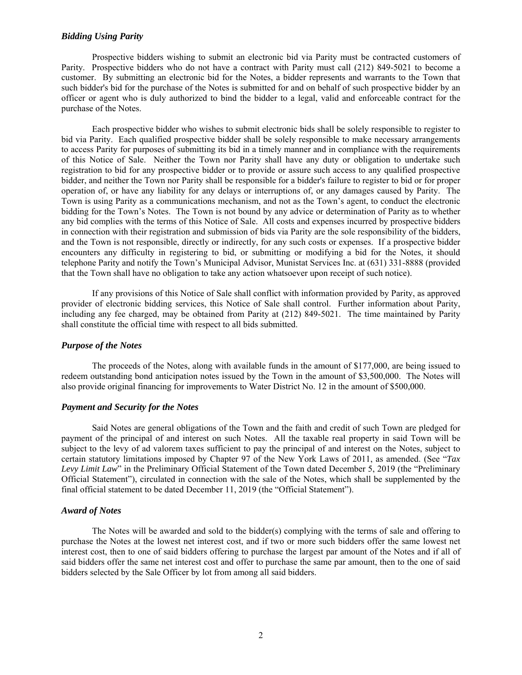## *Bidding Using Parity*

Prospective bidders wishing to submit an electronic bid via Parity must be contracted customers of Parity. Prospective bidders who do not have a contract with Parity must call (212) 849-5021 to become a customer. By submitting an electronic bid for the Notes, a bidder represents and warrants to the Town that such bidder's bid for the purchase of the Notes is submitted for and on behalf of such prospective bidder by an officer or agent who is duly authorized to bind the bidder to a legal, valid and enforceable contract for the purchase of the Notes.

Each prospective bidder who wishes to submit electronic bids shall be solely responsible to register to bid via Parity. Each qualified prospective bidder shall be solely responsible to make necessary arrangements to access Parity for purposes of submitting its bid in a timely manner and in compliance with the requirements of this Notice of Sale. Neither the Town nor Parity shall have any duty or obligation to undertake such registration to bid for any prospective bidder or to provide or assure such access to any qualified prospective bidder, and neither the Town nor Parity shall be responsible for a bidder's failure to register to bid or for proper operation of, or have any liability for any delays or interruptions of, or any damages caused by Parity. The Town is using Parity as a communications mechanism, and not as the Town's agent, to conduct the electronic bidding for the Town's Notes. The Town is not bound by any advice or determination of Parity as to whether any bid complies with the terms of this Notice of Sale. All costs and expenses incurred by prospective bidders in connection with their registration and submission of bids via Parity are the sole responsibility of the bidders, and the Town is not responsible, directly or indirectly, for any such costs or expenses. If a prospective bidder encounters any difficulty in registering to bid, or submitting or modifying a bid for the Notes, it should telephone Parity and notify the Town's Municipal Advisor, Munistat Services Inc. at (631) 331-8888 (provided that the Town shall have no obligation to take any action whatsoever upon receipt of such notice).

If any provisions of this Notice of Sale shall conflict with information provided by Parity, as approved provider of electronic bidding services, this Notice of Sale shall control. Further information about Parity, including any fee charged, may be obtained from Parity at (212) 849-5021. The time maintained by Parity shall constitute the official time with respect to all bids submitted.

#### *Purpose of the Notes*

The proceeds of the Notes, along with available funds in the amount of \$177,000, are being issued to redeem outstanding bond anticipation notes issued by the Town in the amount of \$3,500,000. The Notes will also provide original financing for improvements to Water District No. 12 in the amount of \$500,000.

#### *Payment and Security for the Notes*

Said Notes are general obligations of the Town and the faith and credit of such Town are pledged for payment of the principal of and interest on such Notes. All the taxable real property in said Town will be subject to the levy of ad valorem taxes sufficient to pay the principal of and interest on the Notes, subject to certain statutory limitations imposed by Chapter 97 of the New York Laws of 2011, as amended. (See "*Tax Levy Limit Law*" in the Preliminary Official Statement of the Town dated December 5, 2019 (the "Preliminary Official Statement"), circulated in connection with the sale of the Notes, which shall be supplemented by the final official statement to be dated December 11, 2019 (the "Official Statement").

#### *Award of Notes*

The Notes will be awarded and sold to the bidder(s) complying with the terms of sale and offering to purchase the Notes at the lowest net interest cost, and if two or more such bidders offer the same lowest net interest cost, then to one of said bidders offering to purchase the largest par amount of the Notes and if all of said bidders offer the same net interest cost and offer to purchase the same par amount, then to the one of said bidders selected by the Sale Officer by lot from among all said bidders.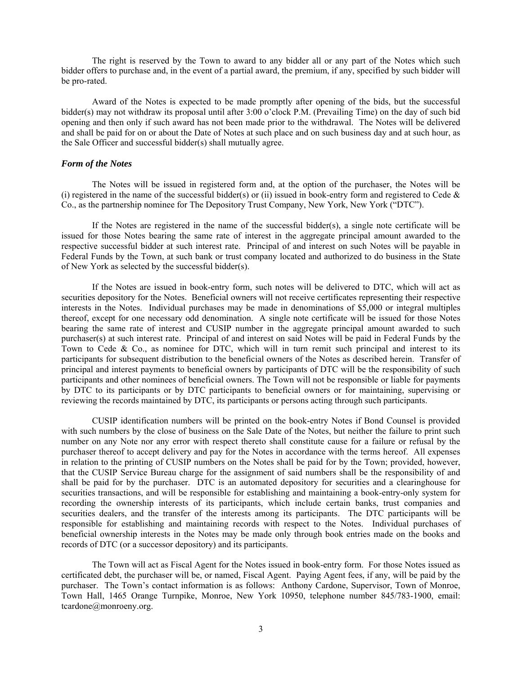The right is reserved by the Town to award to any bidder all or any part of the Notes which such bidder offers to purchase and, in the event of a partial award, the premium, if any, specified by such bidder will be pro-rated.

Award of the Notes is expected to be made promptly after opening of the bids, but the successful bidder(s) may not withdraw its proposal until after 3:00 o'clock P.M. (Prevailing Time) on the day of such bid opening and then only if such award has not been made prior to the withdrawal. The Notes will be delivered and shall be paid for on or about the Date of Notes at such place and on such business day and at such hour, as the Sale Officer and successful bidder(s) shall mutually agree.

#### *Form of the Notes*

The Notes will be issued in registered form and, at the option of the purchaser, the Notes will be (i) registered in the name of the successful bidder(s) or (ii) issued in book-entry form and registered to Cede  $\&$ Co., as the partnership nominee for The Depository Trust Company, New York, New York ("DTC").

If the Notes are registered in the name of the successful bidder(s), a single note certificate will be issued for those Notes bearing the same rate of interest in the aggregate principal amount awarded to the respective successful bidder at such interest rate. Principal of and interest on such Notes will be payable in Federal Funds by the Town, at such bank or trust company located and authorized to do business in the State of New York as selected by the successful bidder(s).

If the Notes are issued in book-entry form, such notes will be delivered to DTC, which will act as securities depository for the Notes. Beneficial owners will not receive certificates representing their respective interests in the Notes. Individual purchases may be made in denominations of \$5,000 or integral multiples thereof, except for one necessary odd denomination. A single note certificate will be issued for those Notes bearing the same rate of interest and CUSIP number in the aggregate principal amount awarded to such purchaser(s) at such interest rate. Principal of and interest on said Notes will be paid in Federal Funds by the Town to Cede & Co., as nominee for DTC, which will in turn remit such principal and interest to its participants for subsequent distribution to the beneficial owners of the Notes as described herein. Transfer of principal and interest payments to beneficial owners by participants of DTC will be the responsibility of such participants and other nominees of beneficial owners. The Town will not be responsible or liable for payments by DTC to its participants or by DTC participants to beneficial owners or for maintaining, supervising or reviewing the records maintained by DTC, its participants or persons acting through such participants.

CUSIP identification numbers will be printed on the book-entry Notes if Bond Counsel is provided with such numbers by the close of business on the Sale Date of the Notes, but neither the failure to print such number on any Note nor any error with respect thereto shall constitute cause for a failure or refusal by the purchaser thereof to accept delivery and pay for the Notes in accordance with the terms hereof. All expenses in relation to the printing of CUSIP numbers on the Notes shall be paid for by the Town; provided, however, that the CUSIP Service Bureau charge for the assignment of said numbers shall be the responsibility of and shall be paid for by the purchaser. DTC is an automated depository for securities and a clearinghouse for securities transactions, and will be responsible for establishing and maintaining a book-entry-only system for recording the ownership interests of its participants, which include certain banks, trust companies and securities dealers, and the transfer of the interests among its participants. The DTC participants will be responsible for establishing and maintaining records with respect to the Notes. Individual purchases of beneficial ownership interests in the Notes may be made only through book entries made on the books and records of DTC (or a successor depository) and its participants.

The Town will act as Fiscal Agent for the Notes issued in book-entry form. For those Notes issued as certificated debt, the purchaser will be, or named, Fiscal Agent. Paying Agent fees, if any, will be paid by the purchaser. The Town's contact information is as follows: Anthony Cardone, Supervisor, Town of Monroe, Town Hall, 1465 Orange Turnpike, Monroe, New York 10950, telephone number 845/783-1900, email: tcardone@monroeny.org.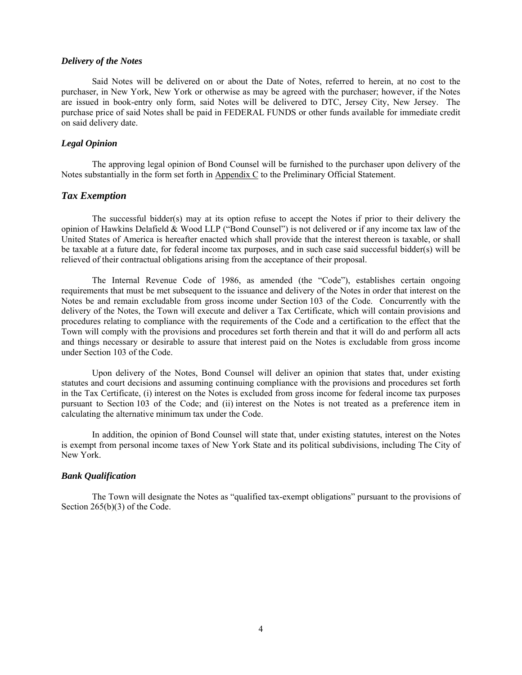### *Delivery of the Notes*

Said Notes will be delivered on or about the Date of Notes, referred to herein, at no cost to the purchaser, in New York, New York or otherwise as may be agreed with the purchaser; however, if the Notes are issued in book-entry only form, said Notes will be delivered to DTC, Jersey City, New Jersey. The purchase price of said Notes shall be paid in FEDERAL FUNDS or other funds available for immediate credit on said delivery date.

# *Legal Opinion*

The approving legal opinion of Bond Counsel will be furnished to the purchaser upon delivery of the Notes substantially in the form set forth in Appendix C to the Preliminary Official Statement.

# *Tax Exemption*

The successful bidder(s) may at its option refuse to accept the Notes if prior to their delivery the opinion of Hawkins Delafield & Wood LLP ("Bond Counsel") is not delivered or if any income tax law of the United States of America is hereafter enacted which shall provide that the interest thereon is taxable, or shall be taxable at a future date, for federal income tax purposes, and in such case said successful bidder(s) will be relieved of their contractual obligations arising from the acceptance of their proposal.

The Internal Revenue Code of 1986, as amended (the "Code"), establishes certain ongoing requirements that must be met subsequent to the issuance and delivery of the Notes in order that interest on the Notes be and remain excludable from gross income under Section 103 of the Code. Concurrently with the delivery of the Notes, the Town will execute and deliver a Tax Certificate, which will contain provisions and procedures relating to compliance with the requirements of the Code and a certification to the effect that the Town will comply with the provisions and procedures set forth therein and that it will do and perform all acts and things necessary or desirable to assure that interest paid on the Notes is excludable from gross income under Section 103 of the Code.

Upon delivery of the Notes, Bond Counsel will deliver an opinion that states that, under existing statutes and court decisions and assuming continuing compliance with the provisions and procedures set forth in the Tax Certificate, (i) interest on the Notes is excluded from gross income for federal income tax purposes pursuant to Section 103 of the Code; and (ii) interest on the Notes is not treated as a preference item in calculating the alternative minimum tax under the Code.

In addition, the opinion of Bond Counsel will state that, under existing statutes, interest on the Notes is exempt from personal income taxes of New York State and its political subdivisions, including The City of New York.

# *Bank Qualification*

The Town will designate the Notes as "qualified tax-exempt obligations" pursuant to the provisions of Section 265(b)(3) of the Code.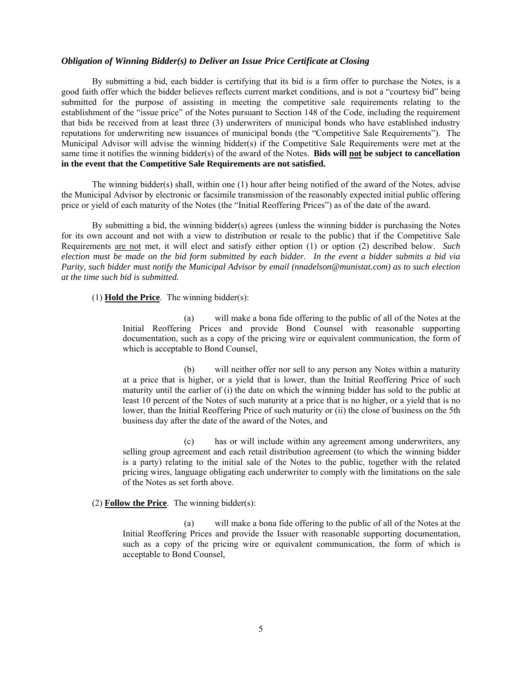# *Obligation of Winning Bidder(s) to Deliver an Issue Price Certificate at Closing*

By submitting a bid, each bidder is certifying that its bid is a firm offer to purchase the Notes, is a good faith offer which the bidder believes reflects current market conditions, and is not a "courtesy bid" being submitted for the purpose of assisting in meeting the competitive sale requirements relating to the establishment of the "issue price" of the Notes pursuant to Section 148 of the Code, including the requirement that bids be received from at least three (3) underwriters of municipal bonds who have established industry reputations for underwriting new issuances of municipal bonds (the "Competitive Sale Requirements"). The Municipal Advisor will advise the winning bidder(s) if the Competitive Sale Requirements were met at the same time it notifies the winning bidder(s) of the award of the Notes. **Bids will not be subject to cancellation in the event that the Competitive Sale Requirements are not satisfied.** 

The winning bidder(s) shall, within one (1) hour after being notified of the award of the Notes, advise the Municipal Advisor by electronic or facsimile transmission of the reasonably expected initial public offering price or yield of each maturity of the Notes (the "Initial Reoffering Prices") as of the date of the award.

By submitting a bid, the winning bidder(s) agrees (unless the winning bidder is purchasing the Notes for its own account and not with a view to distribution or resale to the public) that if the Competitive Sale Requirements are not met, it will elect and satisfy either option (1) or option (2) described below. *Such election must be made on the bid form submitted by each bidder. In the event a bidder submits a bid via Parity, such bidder must notify the Municipal Advisor by email (nnadelson@munistat.com) as to such election at the time such bid is submitted.* 

(1) **Hold the Price**. The winning bidder(s):

(a) will make a bona fide offering to the public of all of the Notes at the Initial Reoffering Prices and provide Bond Counsel with reasonable supporting documentation, such as a copy of the pricing wire or equivalent communication, the form of which is acceptable to Bond Counsel,

(b) will neither offer nor sell to any person any Notes within a maturity at a price that is higher, or a yield that is lower, than the Initial Reoffering Price of such maturity until the earlier of (i) the date on which the winning bidder has sold to the public at least 10 percent of the Notes of such maturity at a price that is no higher, or a yield that is no lower, than the Initial Reoffering Price of such maturity or (ii) the close of business on the 5th business day after the date of the award of the Notes, and

(c) has or will include within any agreement among underwriters, any selling group agreement and each retail distribution agreement (to which the winning bidder is a party) relating to the initial sale of the Notes to the public, together with the related pricing wires, language obligating each underwriter to comply with the limitations on the sale of the Notes as set forth above.

# (2) **Follow the Price**. The winning bidder(s):

(a) will make a bona fide offering to the public of all of the Notes at the Initial Reoffering Prices and provide the Issuer with reasonable supporting documentation, such as a copy of the pricing wire or equivalent communication, the form of which is acceptable to Bond Counsel,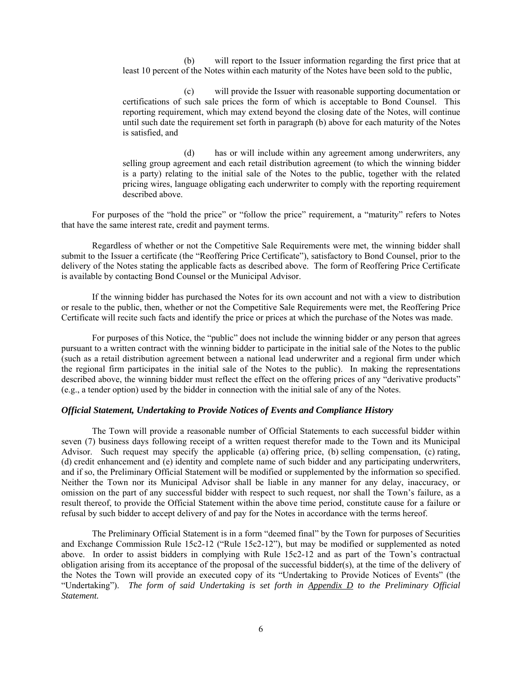(b) will report to the Issuer information regarding the first price that at least 10 percent of the Notes within each maturity of the Notes have been sold to the public,

(c) will provide the Issuer with reasonable supporting documentation or certifications of such sale prices the form of which is acceptable to Bond Counsel. This reporting requirement, which may extend beyond the closing date of the Notes, will continue until such date the requirement set forth in paragraph (b) above for each maturity of the Notes is satisfied, and

(d) has or will include within any agreement among underwriters, any selling group agreement and each retail distribution agreement (to which the winning bidder is a party) relating to the initial sale of the Notes to the public, together with the related pricing wires, language obligating each underwriter to comply with the reporting requirement described above.

For purposes of the "hold the price" or "follow the price" requirement, a "maturity" refers to Notes that have the same interest rate, credit and payment terms.

Regardless of whether or not the Competitive Sale Requirements were met, the winning bidder shall submit to the Issuer a certificate (the "Reoffering Price Certificate"), satisfactory to Bond Counsel, prior to the delivery of the Notes stating the applicable facts as described above. The form of Reoffering Price Certificate is available by contacting Bond Counsel or the Municipal Advisor.

If the winning bidder has purchased the Notes for its own account and not with a view to distribution or resale to the public, then, whether or not the Competitive Sale Requirements were met, the Reoffering Price Certificate will recite such facts and identify the price or prices at which the purchase of the Notes was made.

For purposes of this Notice, the "public" does not include the winning bidder or any person that agrees pursuant to a written contract with the winning bidder to participate in the initial sale of the Notes to the public (such as a retail distribution agreement between a national lead underwriter and a regional firm under which the regional firm participates in the initial sale of the Notes to the public). In making the representations described above, the winning bidder must reflect the effect on the offering prices of any "derivative products" (e.g., a tender option) used by the bidder in connection with the initial sale of any of the Notes.

#### *Official Statement, Undertaking to Provide Notices of Events and Compliance History*

The Town will provide a reasonable number of Official Statements to each successful bidder within seven (7) business days following receipt of a written request therefor made to the Town and its Municipal Advisor. Such request may specify the applicable (a) offering price, (b) selling compensation, (c) rating, (d) credit enhancement and (e) identity and complete name of such bidder and any participating underwriters, and if so, the Preliminary Official Statement will be modified or supplemented by the information so specified. Neither the Town nor its Municipal Advisor shall be liable in any manner for any delay, inaccuracy, or omission on the part of any successful bidder with respect to such request, nor shall the Town's failure, as a result thereof, to provide the Official Statement within the above time period, constitute cause for a failure or refusal by such bidder to accept delivery of and pay for the Notes in accordance with the terms hereof.

The Preliminary Official Statement is in a form "deemed final" by the Town for purposes of Securities and Exchange Commission Rule 15c2-12 ("Rule 15c2-12"), but may be modified or supplemented as noted above. In order to assist bidders in complying with Rule 15c2-12 and as part of the Town's contractual obligation arising from its acceptance of the proposal of the successful bidder(s), at the time of the delivery of the Notes the Town will provide an executed copy of its "Undertaking to Provide Notices of Events" (the "Undertaking"). *The form of said Undertaking is set forth in Appendix D to the Preliminary Official Statement.*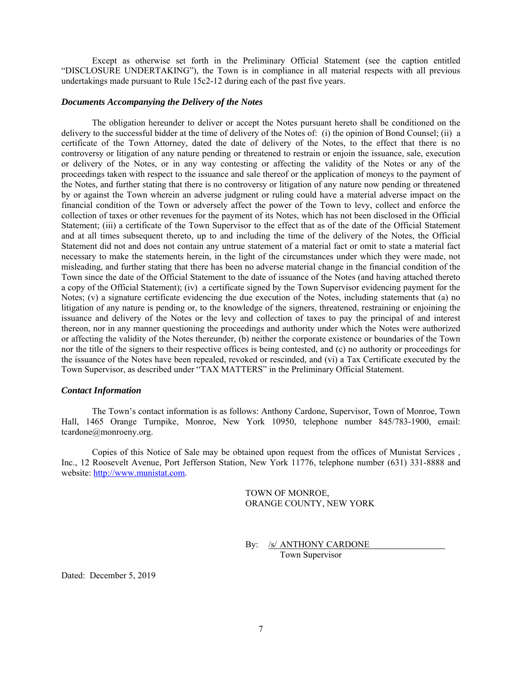Except as otherwise set forth in the Preliminary Official Statement (see the caption entitled "DISCLOSURE UNDERTAKING"), the Town is in compliance in all material respects with all previous undertakings made pursuant to Rule 15c2-12 during each of the past five years.

### *Documents Accompanying the Delivery of the Notes*

The obligation hereunder to deliver or accept the Notes pursuant hereto shall be conditioned on the delivery to the successful bidder at the time of delivery of the Notes of: (i) the opinion of Bond Counsel; (ii) a certificate of the Town Attorney, dated the date of delivery of the Notes, to the effect that there is no controversy or litigation of any nature pending or threatened to restrain or enjoin the issuance, sale, execution or delivery of the Notes, or in any way contesting or affecting the validity of the Notes or any of the proceedings taken with respect to the issuance and sale thereof or the application of moneys to the payment of the Notes, and further stating that there is no controversy or litigation of any nature now pending or threatened by or against the Town wherein an adverse judgment or ruling could have a material adverse impact on the financial condition of the Town or adversely affect the power of the Town to levy, collect and enforce the collection of taxes or other revenues for the payment of its Notes, which has not been disclosed in the Official Statement; (iii) a certificate of the Town Supervisor to the effect that as of the date of the Official Statement and at all times subsequent thereto, up to and including the time of the delivery of the Notes, the Official Statement did not and does not contain any untrue statement of a material fact or omit to state a material fact necessary to make the statements herein, in the light of the circumstances under which they were made, not misleading, and further stating that there has been no adverse material change in the financial condition of the Town since the date of the Official Statement to the date of issuance of the Notes (and having attached thereto a copy of the Official Statement); (iv) a certificate signed by the Town Supervisor evidencing payment for the Notes; (v) a signature certificate evidencing the due execution of the Notes, including statements that (a) no litigation of any nature is pending or, to the knowledge of the signers, threatened, restraining or enjoining the issuance and delivery of the Notes or the levy and collection of taxes to pay the principal of and interest thereon, nor in any manner questioning the proceedings and authority under which the Notes were authorized or affecting the validity of the Notes thereunder, (b) neither the corporate existence or boundaries of the Town nor the title of the signers to their respective offices is being contested, and (c) no authority or proceedings for the issuance of the Notes have been repealed, revoked or rescinded, and (vi) a Tax Certificate executed by the Town Supervisor, as described under "TAX MATTERS" in the Preliminary Official Statement.

#### *Contact Information*

The Town's contact information is as follows: Anthony Cardone, Supervisor, Town of Monroe, Town Hall, 1465 Orange Turnpike, Monroe, New York 10950, telephone number 845/783-1900, email: tcardone@monroeny.org.

Copies of this Notice of Sale may be obtained upon request from the offices of Munistat Services , Inc., 12 Roosevelt Avenue, Port Jefferson Station, New York 11776, telephone number (631) 331-8888 and website: http://www.munistat.com.

> TOWN OF MONROE, ORANGE COUNTY, NEW YORK

> By: /s/ ANTHONY CARDONE

Town Supervisor

Dated: December 5, 2019